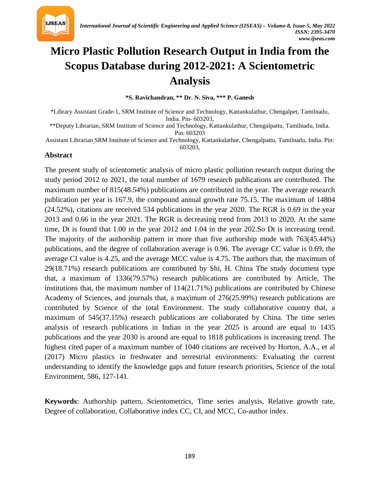

# **Micro Plastic Pollution Research Output in India from the Scopus Database during 2012-2021: A Scientometric Analysis**

**\*S. Ravichandran, \*\* Dr. N. Siva, \*\*\* P. Ganesh**

\*Library Assistant Grade-1, SRM Institute of Science and Technology, Kattankulathur, Chengalpet, Tamilnadu, India. Pin- 603203,

\*\*Deputy Librarian, SRM Institute of Science and Technology, Kattankulathur, Chengalpattu, Tamilnadu, India. Pin: 603203

*32T*Assistant Librarian *32T*SRM Institute of Science and Technology, Kattankulathur, Chengalpattu, Tamilnadu, India. Pin: 603203,

#### **Abstract**

The present study of scientometic analysis of micro plastic pollution research output during the study period 2012 to 2021, the total number of 1679 research publications are contributed. The maximum number of 815(48.54%) publications are contributed in the year. The average research publication per year is 167.9, the compound annual growth rate 75.15. The maximum of 14804 (24.52%), citations are received 534 publications in the year 2020. The RGR is 0.69 in the year 2013 and 0.66 in the year 2021. The RGR is decreasing trend from 2013 to 2020. At the same time, Dt is found that 1.00 in the year 2012 and 1.04 in the year 202.So Dt is increasing trend. The majority of the authorship pattern in more than five authorship mode with 763(45.44%) publications, and the degree of collaboration average is 0.96. The average CC value is 0.69, the average CI value is 4.25, and the average MCC value is 4.75. The authors that, the maximum of 29(18.71%) research publications are contributed by Shi, H. China The study document type that, a maximum of 1336(79.57%) research publications are contributed by Article, The institutions that, the maximum number of 114(21.71%) publications are contributed by Chinese Academy of Sciences, and journals that, a maximum of 276(25.99%) research publications are contributed by Science of the total Environment. The study collaborative country that, a maximum of 545(37.15%) research publications are collaborated by China. The time series analysis of research publications in Indian in the year 2025 is around are equal to 1435 publications and the year 2030 is around are equal to 1818 publications is increasing trend. The highest cited paper of a maximum number of 1040 citations are received by Horton, A.A., et al (2017) Micro plastics in freshwater and terrestrial environments: Evaluating the current understanding to identify the knowledge gaps and future research priorities, Science of the total Environment, 586, 127-141.

**Keywords**: Authorship pattern, Scientometrics, Time series analysis, Relative growth rate, Degree of collaboration, Collaborative index CC, CI, and MCC, Co-author index.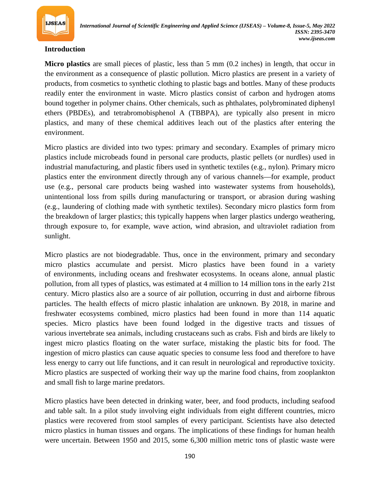

#### **Introduction**

**Micro [plastic](https://www.britannica.com/science/plastic)s** are small pieces of plastic, less than 5 mm (0.2 inches) in length, that occur in the [environment](https://www.merriam-webster.com/dictionary/environment) as a consequence of [plastic pollution](https://www.britannica.com/science/plastic-pollution). Micro plastics are present in a variety of  $32T\cdot\frac{1}{27}$  products, from [cosmetics](https://www.britannica.com/art/cosmetic) to [synthetic](https://www.merriam-webster.com/dictionary/synthetic) [clothing](https://www.britannica.com/topic/dress-clothing) to plastic bags and bottles. Many of these products readily enter the environment in waste. Micro plastics consist of [carbon](https://www.britannica.com/science/carbon-chemical-element) and [hydrogen](https://www.britannica.com/science/hydrogen) atoms bound together in [polymer](https://www.britannica.com/science/polymer) chains. Other chemicals, such as phthalates, polybrominated diphenyl [ethers](https://www.britannica.com/science/polybrominated-diphenyl-ether) (PBDEs), and tetrabromobisphenol A (TBBPA), are typically also present in micro plastics, and many of these chemical additives leach out of the plastics after entering the environment.

Micro plastics are divided into two types: primary and secondary. Examples of primary micro plastics include [microbeads](https://www.britannica.com/technology/microbead) found in personal care products, plastic pellets (or nurdles) used in industrial manufacturing, and plastic fibers used in synthetic textiles (e.g., *[nylon](https://www.britannica.com/science/nylon)*). Primary micro plastics enter the environment directly through any of various channels—for example, product use (e.g., personal care products being washed into wastewater systems from households), unintentional loss from spills during manufacturing or transport, or abrasion during washing (e.g., laundering of clothing made with synthetic textiles). Secondary micro plastics form from the breakdown of larger plastics; this typically happens when larger plastics undergo weathering, through exposure to, for example, wave action, wind abrasion, and *[ultraviolet radiation](https://www.britannica.com/science/ultraviolet-radiation)* from sunlight.

Micro plastics are not biodegradable. Thus, once in the environment, primary and secondary micro plastics accumulate and persist. Micro plastics have been found in a variety of [environments](https://www.merriam-webster.com/dictionary/environments), including [oceans](https://www.britannica.com/science/ocean) and freshwater ecosystems. In oceans alone, annual plastic pollution, from all types of plastics, was estimated at 4 million to 14 million tons in the early 21st century. Micro plastics also are a source of [air pollution](https://www.britannica.com/science/air-pollution), occurring in dust and airborne fibrous particles. The health effects of micro plastic inhalation are unknown. By 2018, in marine and freshwater ecosystems combined, micro plastics had been found in more than 114 aquatic species. Micro plastics have been found lodged in the digestive tracts and tissues of *z* various [invertebrate](https://www.britannica.com/animal/invertebrate) sea animals, including [crustaceans](https://www.britannica.com/animal/crustacean) such as [crabs](https://www.britannica.com/animal/crab). [Fish](https://www.britannica.com/animal/fish) and [birds](https://www.britannica.com/animal/bird-animal) are likely to ingest micro plastics floating on the water surface, mistaking the plastic bits for food. The ingestion of micro plastics can cause aquatic species to consume less food and therefore to have less energy to carry out life functions, and it can result in neurological and reproductive toxicity. Micro plastics are suspected of working their way up the marine [food chains](https://www.britannica.com/science/food-chain), from *[zooplankton](https://www.britannica.com/science/zooplankton)* and small fish to large marine predators.

Micro plastics have been detected in drinking water, [beer](https://www.britannica.com/topic/beer), and food products, including seafood and [table salt](https://www.britannica.com/science/salt). In a pilot study involving eight individuals from eight different countries, micro plastics were recovered from stool samples of every participant. Scientists have also detected micro plastics in human tissues and organs. The *[implications](https://www.merriam-webster.com/dictionary/implications)* of these findings for human health were uncertain. Between 1950 and 2015, some 6,300 million metric tons of plastic waste were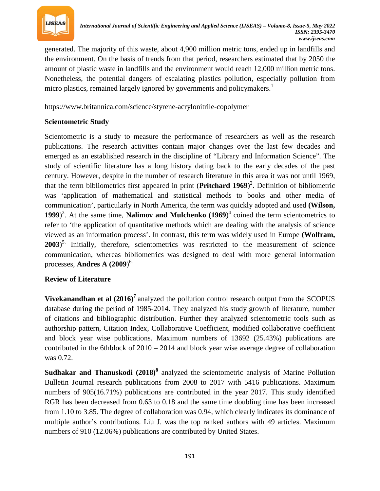

generated. The majority of this waste, about 4,900 million metric tons, ended up in landfills and the environment. On the basis of trends from that period, researchers estimated that by 2050 the amount of plastic waste in landfills and the environment would reach 12,000 million metric tons. Nonetheless, the potential dangers of escalating plastics pollution, especially pollution from micro plastics, remained largely ignored by governments and policymakers.<sup>1</sup>

https://www.britannica.com/science/styrene-acrylonitrile-copolymer

## **Scientometric Study**

Scientometric is a study to measure the performance of researchers as well as the research publications. The research activities contain major changes over the last few decades and emerged as an established research in the discipline of "Library and Information Science". The study of scientific literature has a long history dating back to the early decades of the past century. However, despite in the number of research literature in this area it was not until 1969, that the term bibliometrics first appeared in print (Pritchard 1969)<sup>2</sup>. Definition of bibliometric was 'application of mathematical and statistical methods to books and other media of communication', particularly in North America, the term was quickly adopted and used **(Wilson, 1999**<sup>3</sup>. At the same time, **Nalimov and Mulchenko** (1969)<sup>4</sup> coined the term scientometrics to refer to 'the application of quantitative methods which are dealing with the analysis of science viewed as an information process'. In contrast, this term was widely used in Europe **(Wolfram,**  2003)<sup>5.</sup> Initially, therefore, scientometrics was restricted to the measurement of science communication, whereas bibliometrics was designed to deal with more general information processes, **Andres A (2009**)*<sup>P</sup>* 6.

#### **Review of Literature**

**Vivekanandhan et al**  $(2016)^7$  analyzed the pollution control research output from the SCOPUS database during the period of 1985-2014. They analyzed his study growth of literature, number of citations and bibliographic distribution. Further they analyzed scientometric tools such as authorship pattern, Citation Index, Collaborative Coefficient, modified collaborative coefficient and block year wise publications. Maximum numbers of 13692 (25.43%) publications are contributed in the 6thblock of 2010 – 2014 and block year wise average degree of collaboration was 0.72.

**Sudhakar and Thanuskodi (2018)<sup>8</sup>** analyzed the scientometric analysis of Marine Pollution Bulletin Journal research publications from 2008 to 2017 with 5416 publications. Maximum numbers of 905(16.71%) publications are contributed in the year 2017. This study identified RGR has been decreased from 0.63 to 0.18 and the same time doubling time has been increased from 1.10 to 3.85. The degree of collaboration was 0.94, which clearly indicates its dominance of multiple author's contributions. Liu J. was the top ranked authors with 49 articles. Maximum numbers of 910 (12.06%) publications are contributed by United States.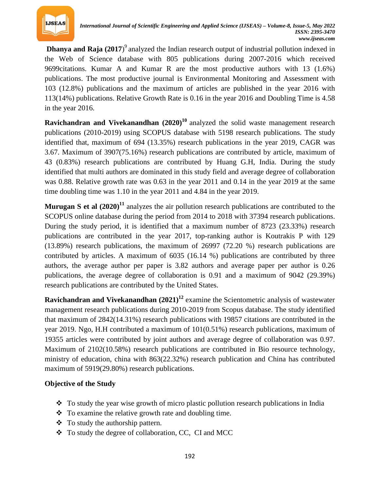

**Dhanya and Raja** (2017)<sup>9</sup> analyzed the Indian research output of industrial pollution indexed in the Web of Science database with 805 publications during 2007-2016 which received 9699citations. Kumar A and Kumar R are the most productive authors with 13 (1.6%) publications. The most productive journal is Environmental Monitoring and Assessment with 103 (12.8%) publications and the maximum of articles are published in the year 2016 with 113(14%) publications. Relative Growth Rate is 0.16 in the year 2016 and Doubling Time is 4.58 in the year 2016.

**Ravichandran and Vivekanandhan** (2020)<sup>10</sup> analyzed the solid waste management research publications (2010-2019) using SCOPUS database with 5198 research publications. The study identified that, maximum of 694 (13.35%) research publications in the year 2019, CAGR was 3.67. Maximum of 3907(75.16%) research publications are contributed by article, maximum of 43 (0.83%) research publications are contributed by Huang G.H, India. During the study identified that multi authors are dominated in this study field and average degree of collaboration was 0.88. Relative growth rate was 0.63 in the year 2011 and 0.14 in the year 2019 at the same time doubling time was 1.10 in the year 2011 and 4.84 in the year 2019.

**Murugan S et al**  $(2020)^{11}$  analyzes the air pollution research publications are contributed to the SCOPUS online database during the period from 2014 to 2018 with 37394 research publications. During the study period, it is identified that a maximum number of 8723 (23.33%) research publications are contributed in the year 2017, top-ranking author is Koutrakis P with 129 (13.89%) research publications, the maximum of 26997 (72.20 %) research publications are contributed by articles. A maximum of 6035 (16.14 %) publications are contributed by three authors, the average author per paper is 3.82 authors and average paper per author is 0.26 publications, the average degree of collaboration is 0.91 and a maximum of 9042 (29.39%) research publications are contributed by the United States.

**Ravichandran and Vivekanandhan** (2021)<sup>12</sup> examine the Scientometric analysis of wastewater management research publications during 2010-2019 from Scopus database. The study identified that maximum of 2842(14.31%) research publications with 19857 citations are contributed in the year 2019. Ngo, H.H contributed a maximum of 101(0.51%) research publications, maximum of 19355 articles were contributed by joint authors and average degree of collaboration was 0.97. Maximum of 2102(10.58%) research publications are contributed in Bio resource technology, ministry of education, china with 863(22.32%) research publication and China has contributed maximum of 5919(29.80%) research publications.

# **Objective of the Study**

- $\div$  To study the year wise growth of micro plastic pollution research publications in India
- $\bullet$  To examine the relative growth rate and doubling time.
- To study the authorship pattern.
- To study the degree of collaboration, CC, CI and MCC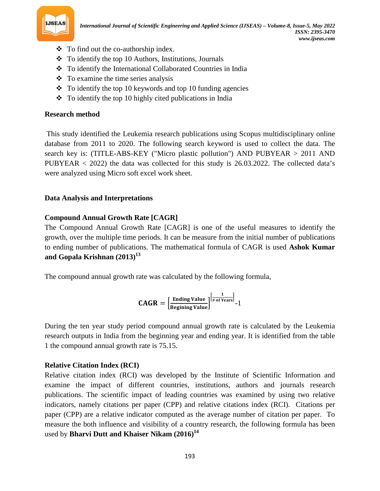

- To find out the co-authorship index.
- $\div$  To identify the top 10 Authors, Institutions, Journals
- To identify the International Collaborated Countries in India
- $\div$  To examine the time series analysis
- $\div$  To identify the top 10 keywords and top 10 funding agencies
- $\bullet$  To identify the top 10 highly cited publications in India

## **Research method**

This study identified the Leukemia research publications using Scopus multidisciplinary online database from 2011 to 2020. The following search keyword is used to collect the data. The search key is: (TITLE-ABS-KEY ("Micro plastic pollution") AND PUBYEAR > 2011 AND PUBYEAR < 2022) the data was collected for this study is 26.03.2022. The collected data's were analyzed using Micro soft excel work sheet.

# **Data Analysis and Interpretations**

# **Compound Annual Growth Rate [CAGR]**

The Compound Annual Growth Rate [CAGR] is one of the useful measures to identify the growth, over the multiple time periods. It can be measure from the initial number of publications to ending number of publications. The mathematical formula of CAGR is used **Ashok Kumar and Gopala Krishnan (2013)***<sup>P</sup>* **13**

The compound annual growth rate was calculated by the following formula,

$$
\textbf{CAGR} = \left[\frac{\text{Ending Value}}{\text{Beginning Value}}\right]^{\left[\frac{1}{\# \text{ of Years}}\right]} \text{-}1
$$

During the ten year study period compound annual growth rate is calculated by the Leukemia research outputs in India from the beginning year and ending year. It is identified from the table 1 the compound annual growth rate is 75.15.

# **Relative Citation Index (RCI)**

Relative citation index (RCI) was developed by the Institute of Scientific Information and examine the impact of different countries, institutions, authors and journals research publications. The scientific impact of leading countries was examined by using two relative indicators, namely citations per paper (CPP) and relative citations index (RCI). Citations per paper (CPP) are a relative indicator computed as the average number of citation per paper. To measure the both influence and visibility of a country research, the following formula has been used by **Bharvi Dutt and Khaiser Nikam (2016)***<sup>P</sup>* **14**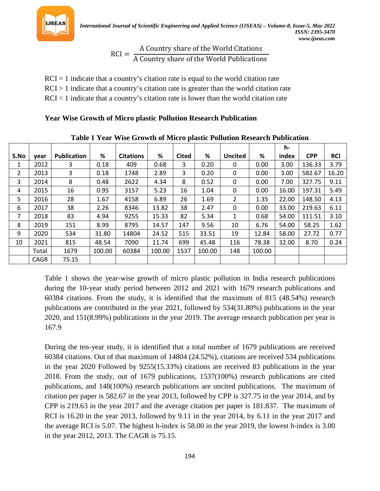

$$
RCI = \frac{A Country share of the World Citations}{A Country share of the World Publications}
$$

 $RCI = 1$  indicate that a country's citation rate is equal to the world citation rate

 $RCI > 1$  indicate that a country's citation rate is greater than the world citation rate

 $RCI < 1$  indicate that a country's citation rate is lower than the world citation rate

## **Year Wise Growth of Micro plastic Pollution Research Publication**

|      |       |                    |        |                  |        |              |        |                |        | h-    |            |            |
|------|-------|--------------------|--------|------------------|--------|--------------|--------|----------------|--------|-------|------------|------------|
| S.No | vear  | <b>Publication</b> | %      | <b>Citations</b> | %      | <b>Cited</b> | %      | <b>Uncited</b> | %      | index | <b>CPP</b> | <b>RCI</b> |
| 1    | 2012  | 3                  | 0.18   | 409              | 0.68   | 3            | 0.20   | 0              | 0.00   | 3.00  | 136.33     | 3.79       |
| 2    | 2013  | 3                  | 0.18   | 1748             | 2.89   | 3            | 0.20   | 0              | 0.00   | 3.00  | 582.67     | 16.20      |
| 3    | 2014  | 8                  | 0.48   | 2622             | 4.34   | 8            | 0.52   | 0              | 0.00   | 7.00  | 327.75     | 9.11       |
| 4    | 2015  | 16                 | 0.95   | 3157             | 5.23   | 16           | 1.04   | $\mathbf{0}$   | 0.00   | 16.00 | 197.31     | 5.49       |
| 5    | 2016  | 28                 | 1.67   | 4158             | 6.89   | 26           | 1.69   | $\overline{2}$ | 1.35   | 22.00 | 148.50     | 4.13       |
| 6    | 2017  | 38                 | 2.26   | 8346             | 13.82  | 38           | 2.47   | 0              | 0.00   | 33.00 | 219.63     | 6.11       |
| 7    | 2018  | 83                 | 4.94   | 9255             | 15.33  | 82           | 5.34   | $\mathbf{1}$   | 0.68   | 54.00 | 111.51     | 3.10       |
| 8    | 2019  | 151                | 8.99   | 8795             | 14.57  | 147          | 9.56   | 10             | 6.76   | 54.00 | 58.25      | 1.62       |
| 9    | 2020  | 534                | 31.80  | 14804            | 24.52  | 515          | 33.51  | 19             | 12.84  | 58.00 | 27.72      | 0.77       |
| 10   | 2021  | 815                | 48.54  | 7090             | 11.74  | 699          | 45.48  | 116            | 78.38  | 32.00 | 8.70       | 0.24       |
|      | Total | 1679               | 100.00 | 60384            | 100.00 | 1537         | 100.00 | 148            | 100.00 |       |            |            |
|      | CAGR  | 75.15              |        |                  |        |              |        |                |        |       |            |            |

**Table 1 Year Wise Growth of Micro plastic Pollution Research Publication**

Table 1 shows the year-wise growth of micro plastic pollution in India research publications during the 10-year study period between 2012 and 2021 with 1679 research publications and 60384 citations. From the study, it is identified that the maximum of 815 (48.54%) research publications are contributed in the year 2021, followed by 534(31.80%) publications in the year 2020, and 151(8.99%) publications in the year 2019. The average research publication per year is 167.9

During the ten-year study, it is identified that a total number of 1679 publications are received 60384 citations. Out of that maximum of 14804 (24.52%), citations are received 534 publications in the year 2020 Followed by 9255(15.33%) citations are received 83 publications in the year 2018. From the study, out of 1679 publications, 1537(100%) research publications are cited publications, and 148(100%) research publications are uncited publications. The maximum of citation per paper is 582.67 in the year 2013, followed by CPP is 327.75 in the year 2014, and by CPP is 219.63 in the year 2017 and the average citation per paper is 181.837. The maximum of RCI is 16.20 in the year 2013, followed by 9.11 in the year 2014, by 6.11 in the year 2017 and the average RCI is 5.07. The highest h-index is 58.00 in the year 2019, the lowest h-index is 3.00 in the year 2012, 2013. The CAGR is 75.15.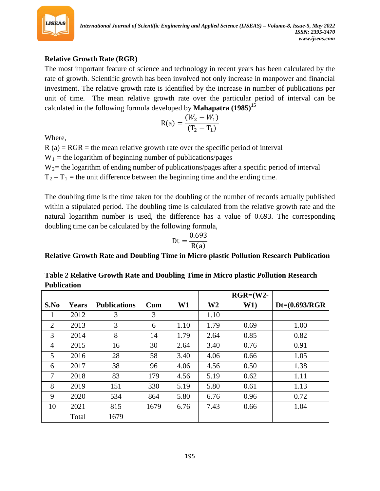

# **Relative Growth Rate (RGR)**

The most important feature of science and technology in recent years has been calculated by the rate of growth. Scientific growth has been involved not only increase in manpower and financial investment. The relative growth rate is identified by the increase in number of publications per unit of time. The mean relative growth rate over the particular period of interval can be calculated in the following formula developed by **Mahapatra (1985)***<sup>P</sup>* **15**

$$
R(a) = \frac{(W_2 - W_1)}{(T_2 - T_1)}
$$

Where,

 $R$  (a) = RGR = the mean relative growth rate over the specific period of interval

 $W_1$  = the logarithm of beginning number of publications/pages

W<sub>2</sub> = the logarithm of ending number of publications/pages after a specific period of interval

 $T_2 - T_1$  = the unit difference between the beginning time and the ending time.

The doubling time is the time taken for the doubling of the number of records actually published within a stipulated period. The doubling time is calculated from the relative growth rate and the natural logarithm number is used, the difference has a value of 0.693. The corresponding doubling time can be calculated by the following formula,

$$
Dt = \frac{0.693}{R(a)}
$$

**Relative Growth Rate and Doubling Time in Micro plastic Pollution Research Publication**

**Table 2 Relative Growth Rate and Doubling Time in Micro plastic Pollution Research Publication**

|                |              |                     |              |      |                | $RGR = (W2 -$ |                  |
|----------------|--------------|---------------------|--------------|------|----------------|---------------|------------------|
| S.No           | <b>Years</b> | <b>Publications</b> | $_{\rm Cum}$ | W1   | W <sub>2</sub> | W1)           | $Dt=(0.693/RGR)$ |
| 1              | 2012         | 3                   | 3            |      | 1.10           |               |                  |
| 2              | 2013         | 3                   | 6            | 1.10 | 1.79           | 0.69          | 1.00             |
| 3              | 2014         | 8                   | 14           | 1.79 | 2.64           | 0.85          | 0.82             |
| $\overline{4}$ | 2015         | 16                  | 30           | 2.64 | 3.40           | 0.76          | 0.91             |
| 5              | 2016         | 28                  | 58           | 3.40 | 4.06           | 0.66          | 1.05             |
| 6              | 2017         | 38                  | 96           | 4.06 | 4.56           | 0.50          | 1.38             |
| 7              | 2018         | 83                  | 179          | 4.56 | 5.19           | 0.62          | 1.11             |
| 8              | 2019         | 151                 | 330          | 5.19 | 5.80           | 0.61          | 1.13             |
| 9              | 2020         | 534                 | 864          | 5.80 | 6.76           | 0.96          | 0.72             |
| 10             | 2021         | 815                 | 1679         | 6.76 | 7.43           | 0.66          | 1.04             |
|                | Total        | 1679                |              |      |                |               |                  |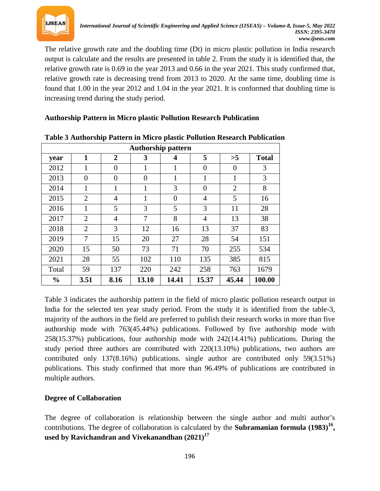

The relative growth rate and the doubling time (Dt) in micro plastic pollution in India research output is calculate and the results are presented in table 2. From the study it is identified that, the relative growth rate is 0.69 in the year 2013 and 0.66 in the year 2021. This study confirmed that, relative growth rate is decreasing trend from 2013 to 2020. At the same time, doubling time is found that 1.00 in the year 2012 and 1.04 in the year 2021. It is conformed that doubling time is increasing trend during the study period.

## **Authorship Pattern in Micro plastic Pollution Research Publication**

|               | Authorship pattern |                |                |                         |                |                |              |  |  |  |  |
|---------------|--------------------|----------------|----------------|-------------------------|----------------|----------------|--------------|--|--|--|--|
| year          | 1                  | $\overline{2}$ | 3              | $\overline{\mathbf{4}}$ | 5              | >5             | <b>Total</b> |  |  |  |  |
| 2012          | 1                  | $\overline{0}$ | 1              | 1                       | $\overline{0}$ | $\overline{0}$ | 3            |  |  |  |  |
| 2013          | 0                  | $\Omega$       | $\overline{0}$ | 1                       | 1              | 1              | 3            |  |  |  |  |
| 2014          | 1                  | 1              | 1              | 3                       | $\overline{0}$ | $\overline{2}$ | 8            |  |  |  |  |
| 2015          | $\overline{2}$     | $\overline{4}$ | 1              | $\theta$                | 4              | 5              | 16           |  |  |  |  |
| 2016          | 1                  | 5              | 3              | 5                       | 3              | 11             | 28           |  |  |  |  |
| 2017          | $\overline{2}$     | $\overline{4}$ | 7              | 8                       | $\overline{4}$ | 13             | 38           |  |  |  |  |
| 2018          | $\overline{2}$     | 3              | 12             | 16                      | 13             | 37             | 83           |  |  |  |  |
| 2019          | $\overline{7}$     | 15             | 20             | 27                      | 28             | 54             | 151          |  |  |  |  |
| 2020          | 15                 | 50             | 73             | 71                      | 70             | 255            | 534          |  |  |  |  |
| 2021          | 28                 | 55             | 102            | 110                     | 135            | 385            | 815          |  |  |  |  |
| Total         | 59                 | 137            | 220            | 242                     | 258            | 763            | 1679         |  |  |  |  |
| $\frac{0}{0}$ | 3.51               | 8.16           | 13.10          | 14.41                   | 15.37          | 45.44          | 100.00       |  |  |  |  |

## **Table 3 Authorship Pattern in Micro plastic Pollution Research Publication**

Table 3 indicates the authorship pattern in the field of micro plastic pollution research output in India for the selected ten year study period. From the study it is identified from the table-3, majority of the authors in the field are preferred to publish their research works in more than five authorship mode with 763(45.44%) publications. Followed by five authorship mode with 258(15.37%) publications, four authorship mode with 242(14.41%) publications. During the study period three authors are contributed with 220(13.10%) publications, two authors are contributed only 137(8.16%) publications. single author are contributed only 59(3.51%) publications. This study confirmed that more than 96.49% of publications are contributed in multiple authors.

# **Degree of Collaboration**

The degree of collaboration is relationship between the single author and multi author's contributions. The degree of collaboration is calculated by the **Subramanian formula** (1983)<sup>16</sup>, **used by Ravichandran and Vivekanandhan (2021)***<sup>P</sup>* **17**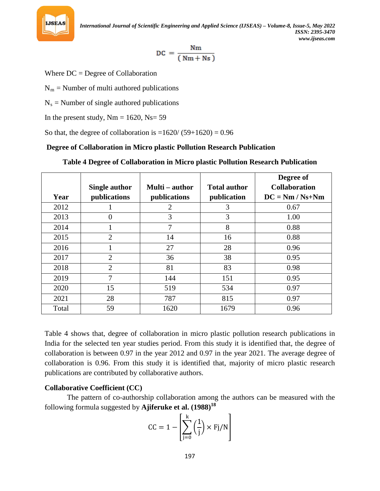

$$
DC = \frac{Nm}{(\,Nm + Ns\,)}
$$

Where DC = Degree of Collaboration

 $N_m$  = Number of multi authored publications

 $N_s$  = Number of single authored publications

In the present study,  $Nm = 1620$ ,  $Ns = 59$ 

So that, the degree of collaboration is  $=1620/(59+1620) = 0.96$ 

## **Degree of Collaboration in Micro plastic Pollution Research Publication**

|       |                      |                |                     | Degree of            |
|-------|----------------------|----------------|---------------------|----------------------|
|       | <b>Single author</b> | Multi – author | <b>Total author</b> | <b>Collaboration</b> |
| Year  | publications         | publications   | publication         | $DC = Nm / Ns + Nm$  |
| 2012  |                      | $\overline{2}$ | 3                   | 0.67                 |
| 2013  | $\theta$             | 3              | 3                   | 1.00                 |
| 2014  |                      | 7              | 8                   | 0.88                 |
| 2015  | $\overline{2}$       | 14             | 16                  | 0.88                 |
| 2016  |                      | 27             | 28                  | 0.96                 |
| 2017  | $\overline{2}$       | 36             | 38                  | 0.95                 |
| 2018  | 2                    | 81             | 83                  | 0.98                 |
| 2019  | 7                    | 144            | 151                 | 0.95                 |
| 2020  | 15                   | 519            | 534                 | 0.97                 |
| 2021  | 28                   | 787            | 815                 | 0.97                 |
| Total | 59                   | 1620           | 1679                | 0.96                 |

**Table 4 Degree of Collaboration in Micro plastic Pollution Research Publication**

Table 4 shows that, degree of collaboration in micro plastic pollution research publications in India for the selected ten year studies period. From this study it is identified that, the degree of collaboration is between 0.97 in the year 2012 and 0.97 in the year 2021. The average degree of collaboration is 0.96. From this study it is identified that, majority of micro plastic research publications are contributed by collaborative authors.

# **Collaborative Coefficient (CC)**

The pattern of co-authorship collaboration among the authors can be measured with the following formula suggested by **Ajiferuke et al. (1988)***<sup>P</sup>* **18**

$$
CC = 1 - \left[\sum_{j=0}^{k} \left(\frac{1}{j}\right) \times Fj/N\right]
$$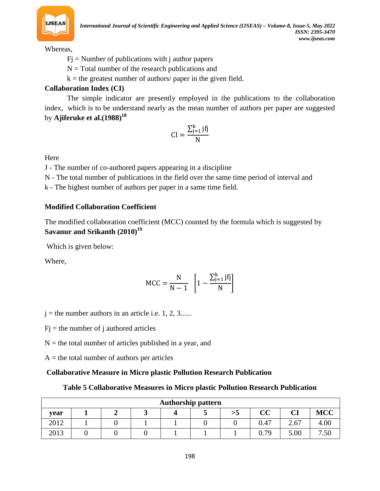

*International Journal of Scientific Engineering and Applied Science (IJSEAS) – Volume-8, Issue-5, May 2022 ISSN: 2395-3470 www.ijseas.com*

Whereas,

- $Fj$  = Number of publications with j author papers
- $N = Total$  number of the research publications and
- $k =$  the greatest number of authors/ paper in the given field.

# **Collaboration Index (CI)**

The simple indicator are presently employed in the publications to the collaboration index, which is to be understand nearly as the mean number of authors per paper are suggested by **Ajiferuke et al.(1988)***<sup>P</sup>* **18**

$$
CI = \frac{\sum_{j=1}^{k} jfj}{N}
$$

Here

J - The number of co-authored papers appearing in a discipline

N - The total number of publications in the field over the same time period of interval and

k - The highest number of authors per paper in a same time field.

## **Modified Collaboration Coefficient**

The modified collaboration coefficient (MCC) counted by the formula which is suggested by **Savanur and Srikanth (2010)***<sup>P</sup>* **19**

Which is given below:

Where,

$$
MCC = \frac{N}{N-1} \left[ 1 - \frac{\sum_{j=1}^{k} jf_j}{N} \right]
$$

 $j =$  the number authors in an article i.e. 1, 2, 3......

 $Fi =$  the number of j authored articles

 $N =$  the total number of articles published in a year, and

 $A =$  the total number of authors per articles

#### **Collaborative Measure in Micro plastic Pollution Research Publication**

#### **Table 5 Collaborative Measures in Micro plastic Pollution Research Publication**

|      | <b>Authorship pattern</b> |  |  |  |  |    |          |      |            |  |
|------|---------------------------|--|--|--|--|----|----------|------|------------|--|
| vear |                           |  |  |  |  | >5 | $\bf CC$ | CI   | <b>MCC</b> |  |
| 2012 |                           |  |  |  |  |    | 0.47     | 2.67 | 4.00       |  |
| 2013 |                           |  |  |  |  |    | 0.79     | 5.00 | 7.50       |  |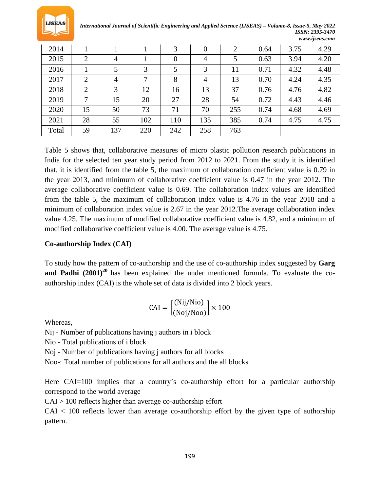

*International Journal of Scientific Engineering and Applied Science (IJSEAS) – Volume-8, Issue-5, May 2022 ISSN: 2395-3470 www.ijseas.com*

| 2014  |                |                |     | 3              | $\overline{0}$ | $\overline{2}$ | 0.64 | 3.75 | 4.29 |
|-------|----------------|----------------|-----|----------------|----------------|----------------|------|------|------|
| 2015  | $\overline{2}$ | $\overline{4}$ |     | $\overline{0}$ | 4              | 5              | 0.63 | 3.94 | 4.20 |
| 2016  |                | 5              | 3   | 5              | 3              | 11             | 0.71 | 4.32 | 4.48 |
| 2017  | $\overline{2}$ | $\overline{4}$ | 7   | 8              | $\overline{4}$ | 13             | 0.70 | 4.24 | 4.35 |
| 2018  | $\overline{2}$ | 3              | 12  | 16             | 13             | 37             | 0.76 | 4.76 | 4.82 |
| 2019  | 7              | 15             | 20  | 27             | 28             | 54             | 0.72 | 4.43 | 4.46 |
| 2020  | 15             | 50             | 73  | 71             | 70             | 255            | 0.74 | 4.68 | 4.69 |
| 2021  | 28             | 55             | 102 | 110            | 135            | 385            | 0.74 | 4.75 | 4.75 |
| Total | 59             | 137            | 220 | 242            | 258            | 763            |      |      |      |

Table 5 shows that, collaborative measures of micro plastic pollution research publications in India for the selected ten year study period from 2012 to 2021. From the study it is identified that, it is identified from the table 5, the maximum of collaboration coefficient value is 0.79 in the year 2013, and minimum of collaborative coefficient value is 0.47 in the year 2012. The average collaborative coefficient value is 0.69. The collaboration index values are identified from the table 5, the maximum of collaboration index value is 4.76 in the year 2018 and a minimum of collaboration index value is 2.67 in the year 2012.The average collaboration index value 4.25. The maximum of modified collaborative coefficient value is 4.82, and a minimum of modified collaborative coefficient value is 4.00. The average value is 4.75.

#### **Co-authorship Index (CAI)**

To study how the pattern of co-authorship and the use of co-authorship index suggested by **Garg**  and Padhi (2001)<sup>20</sup> has been explained the under mentioned formula. To evaluate the coauthorship index (CAI) is the whole set of data is divided into 2 block years.

$$
CAI = \left[\frac{(Nij/Nio)}{(Noj/Noo)}\right] \times 100
$$

Whereas,

Nij - Number of publications having j authors in i block

Nio - Total publications of i block

Noj - Number of publications having j authors for all blocks

Noo-: Total number of publications for all authors and the all blocks

Here CAI=100 implies that a country's co-authorship effort for a particular authorship correspond to the world average

CAI > 100 reflects higher than average co-authorship effort

 $CAI < 100$  reflects lower than average co-authorship effort by the given type of authorship pattern.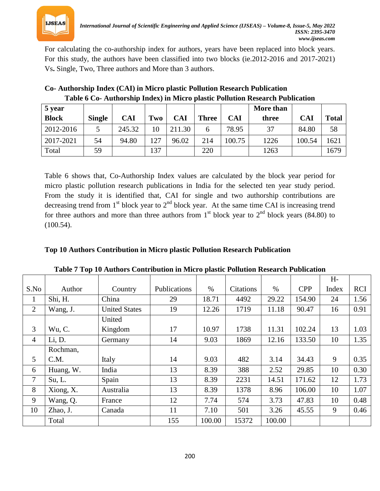

For calculating the co-authorship index for authors, years have been replaced into block years. For this study, the authors have been classified into two blocks (ie.2012-2016 and 2017-2021) Vs**.** Single, Two, Three authors and More than 3 authors.

| 5 year       |               |            |     |            |              |        | More than |            |              |
|--------------|---------------|------------|-----|------------|--------------|--------|-----------|------------|--------------|
| <b>Block</b> | <b>Single</b> | <b>CAI</b> | Two | <b>CAI</b> | <b>Three</b> | CAI    | three     | <b>CAI</b> | <b>Total</b> |
| 2012-2016    | 5             | 245.32     | 10  | 211.30     |              | 78.95  | 37        | 84.80      | 58           |
| 2017-2021    | 54            | 94.80      | 127 | 96.02      | 214          | 100.75 | 1226      | 100.54     | 1621         |
| Total        | 59            |            | 137 |            | 220          |        | 1263      |            | 1679         |

| Co- Authorship Index (CAI) in Micro plastic Pollution Research Publication    |
|-------------------------------------------------------------------------------|
| Table 6 Co- Authorship Index) in Micro plastic Pollution Research Publication |

Table 6 shows that, Co-Authorship Index values are calculated by the block year period for micro plastic pollution research publications in India for the selected ten year study period. From the study it is identified that, CAI for single and two authorship contributions are decreasing trend from 1<sup>st</sup> block year to 2<sup>nd</sup> block year. At the same time CAI is increasing trend for three authors and more than three authors from 1<sup>st</sup> block year to 2<sup>nd</sup> block years (84.80) to (100.54).

|  |  |  |  |  | Top 10 Authors Contribution in Micro plastic Pollution Research Publication |
|--|--|--|--|--|-----------------------------------------------------------------------------|
|--|--|--|--|--|-----------------------------------------------------------------------------|

|                |           |                      |              |        |           |        |            | $H -$ |            |
|----------------|-----------|----------------------|--------------|--------|-----------|--------|------------|-------|------------|
| S.No           | Author    | Country              | Publications | $\%$   | Citations | $\%$   | <b>CPP</b> | Index | <b>RCI</b> |
| 1              | Shi, H.   | China                | 29           | 18.71  | 4492      | 29.22  | 154.90     | 24    | 1.56       |
| $\overline{2}$ | Wang, J.  | <b>United States</b> | 19           | 12.26  | 1719      | 11.18  | 90.47      | 16    | 0.91       |
|                |           | United               |              |        |           |        |            |       |            |
| 3              | Wu, C.    | Kingdom              | 17           | 10.97  | 1738      | 11.31  | 102.24     | 13    | 1.03       |
| $\overline{4}$ | Li, D.    | Germany              | 14           | 9.03   | 1869      | 12.16  | 133.50     | 10    | 1.35       |
|                | Rochman,  |                      |              |        |           |        |            |       |            |
| $\mathfrak{S}$ | C.M.      | Italy                | 14           | 9.03   | 482       | 3.14   | 34.43      | 9     | 0.35       |
| 6              | Huang, W. | India                | 13           | 8.39   | 388       | 2.52   | 29.85      | 10    | 0.30       |
| $\overline{7}$ | Su, L.    | Spain                | 13           | 8.39   | 2231      | 14.51  | 171.62     | 12    | 1.73       |
| 8              | Xiong, X. | Australia            | 13           | 8.39   | 1378      | 8.96   | 106.00     | 10    | 1.07       |
| 9              | Wang, Q.  | France               | 12           | 7.74   | 574       | 3.73   | 47.83      | 10    | 0.48       |
| 10             | Zhao, J.  | Canada               | 11           | 7.10   | 501       | 3.26   | 45.55      | 9     | 0.46       |
|                | Total     |                      | 155          | 100.00 | 15372     | 100.00 |            |       |            |

**Table 7 Top 10 Authors Contribution in Micro plastic Pollution Research Publication**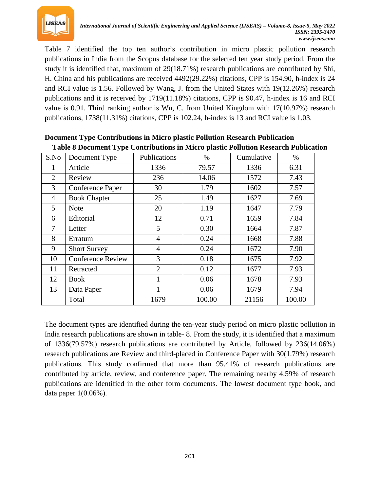

Table 7 identified the top ten author's contribution in micro plastic pollution research publications in India from the Scopus database for the selected ten year study period. From the study it is identified that, maximum of 29(18.71%) research publications are contributed by Shi, H. China and his publications are received 4492(29.22%) citations, CPP is 154.90, h-index is 24 and RCI value is 1.56. Followed by Wang, J. from the United States with 19(12.26%) research publications and it is received by 1719(11.18%) citations, CPP is 90.47, h-index is 16 and RCI value is 0.91. Third ranking author is Wu, C. from United Kingdom with 17(10.97%) research publications, 1738(11.31%) citations, CPP is 102.24, h-index is 13 and RCI value is 1.03.

| S.No           | Document Type            | Publications   | %      | Cumulative | $\%$   |
|----------------|--------------------------|----------------|--------|------------|--------|
| 1              | Article                  | 1336           | 79.57  | 1336       | 6.31   |
| $\overline{2}$ | Review                   | 236            | 14.06  | 1572       | 7.43   |
| 3              | Conference Paper         | 30             | 1.79   | 1602       | 7.57   |
| $\overline{4}$ | <b>Book Chapter</b>      | 25             | 1.49   | 1627       | 7.69   |
| 5              | <b>Note</b>              | 20             | 1.19   | 1647       | 7.79   |
| 6              | Editorial                | 12             | 0.71   | 1659       | 7.84   |
| 7              | Letter                   | 5              | 0.30   | 1664       | 7.87   |
| 8              | Erratum                  | $\overline{4}$ | 0.24   | 1668       | 7.88   |
| 9              | <b>Short Survey</b>      | $\overline{4}$ | 0.24   | 1672       | 7.90   |
| 10             | <b>Conference Review</b> | 3              | 0.18   | 1675       | 7.92   |
| 11             | Retracted                | $\overline{2}$ | 0.12   | 1677       | 7.93   |
| 12             | Book                     | 1              | 0.06   | 1678       | 7.93   |
| 13             | Data Paper               | 1              | 0.06   | 1679       | 7.94   |
|                | Total                    | 1679           | 100.00 | 21156      | 100.00 |

**Document Type Contributions in Micro plastic Pollution Research Publication Table 8 Document Type Contributions in Micro plastic Pollution Research Publication**

The document types are identified during the ten-year study period on micro plastic pollution in India research publications are shown in table- 8. From the study, it is identified that a maximum of 1336(79.57%) research publications are contributed by Article, followed by 236(14.06%) research publications are Review and third-placed in Conference Paper with 30(1.79%) research publications. This study confirmed that more than 95.41% of research publications are contributed by article, review, and conference paper. The remaining nearby 4.59% of research publications are identified in the other form documents. The lowest document type book, and data paper 1(0.06%).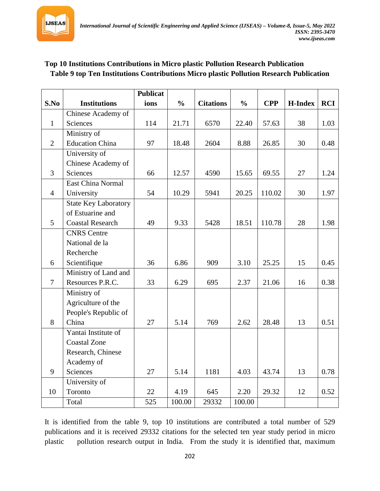

# **Top 10 Institutions Contributions in Micro plastic Pollution Research Publication Table 9 top Ten Institutions Contributions Micro plastic Pollution Research Publication**

|                 |                             | <b>Publicat</b> |               |                  |               |            |                |            |
|-----------------|-----------------------------|-----------------|---------------|------------------|---------------|------------|----------------|------------|
| S.No            | <b>Institutions</b>         | ions            | $\frac{0}{0}$ | <b>Citations</b> | $\frac{0}{0}$ | <b>CPP</b> | <b>H-Index</b> | <b>RCI</b> |
|                 | Chinese Academy of          |                 |               |                  |               |            |                |            |
| $\mathbf{1}$    | <b>Sciences</b>             | 114             | 21.71         | 6570             | 22.40         | 57.63      | 38             | 1.03       |
|                 | Ministry of                 |                 |               |                  |               |            |                |            |
| $\overline{2}$  | <b>Education China</b>      | 97              | 18.48         | 2604             | 8.88          | 26.85      | 30             | 0.48       |
|                 | University of               |                 |               |                  |               |            |                |            |
|                 | Chinese Academy of          |                 |               |                  |               |            |                |            |
| $\overline{3}$  | <b>Sciences</b>             | 66              | 12.57         | 4590             | 15.65         | 69.55      | 27             | 1.24       |
|                 | <b>East China Normal</b>    |                 |               |                  |               |            |                |            |
| $\overline{4}$  | University                  | 54              | 10.29         | 5941             | 20.25         | 110.02     | 30             | 1.97       |
|                 | <b>State Key Laboratory</b> |                 |               |                  |               |            |                |            |
|                 | of Estuarine and            |                 |               |                  |               |            |                |            |
| $5\overline{)}$ | <b>Coastal Research</b>     | 49              | 9.33          | 5428             | 18.51         | 110.78     | 28             | 1.98       |
|                 | <b>CNRS</b> Centre          |                 |               |                  |               |            |                |            |
|                 | National de la              |                 |               |                  |               |            |                |            |
|                 | Recherche                   |                 |               |                  |               |            |                |            |
| 6               | Scientifique                | 36              | 6.86          | 909              | 3.10          | 25.25      | 15             | 0.45       |
|                 | Ministry of Land and        |                 |               |                  |               |            |                |            |
| $\overline{7}$  | Resources P.R.C.            | 33              | 6.29          | 695              | 2.37          | 21.06      | 16             | 0.38       |
|                 | Ministry of                 |                 |               |                  |               |            |                |            |
|                 | Agriculture of the          |                 |               |                  |               |            |                |            |
|                 | People's Republic of        |                 |               |                  |               |            |                |            |
| 8               | China                       | 27              | 5.14          | 769              | 2.62          | 28.48      | 13             | 0.51       |
|                 | Yantai Institute of         |                 |               |                  |               |            |                |            |
|                 | <b>Coastal Zone</b>         |                 |               |                  |               |            |                |            |
|                 | Research, Chinese           |                 |               |                  |               |            |                |            |
|                 | Academy of                  |                 |               |                  |               |            |                |            |
| 9               | <b>Sciences</b>             | 27              | 5.14          | 1181             | 4.03          | 43.74      | 13             | 0.78       |
|                 | University of               |                 |               |                  |               |            |                |            |
| 10              | Toronto                     | 22              | 4.19          | 645              | 2.20          | 29.32      | 12             | 0.52       |
|                 | Total                       | 525             | 100.00        | 29332            | 100.00        |            |                |            |

It is identified from the table 9, top 10 institutions are contributed a total number of 529 publications and it is received 29332 citations for the selected ten year study period in micro plastic pollution research output in India. From the study it is identified that, maximum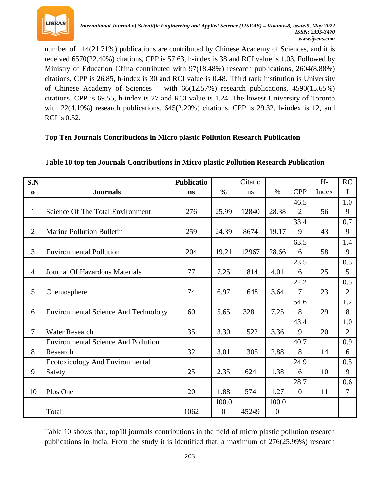

number of 114(21.71%) publications are contributed by Chinese Academy of Sciences, and it is received 6570(22.40%) citations, CPP is 57.63, h-index is 38 and RCI value is 1.03. Followed by Ministry of Education China contributed with 97(18.48%) research publications, 2604(8.88%) citations, CPP is 26.85, h-index is 30 and RCI value is 0.48. Third rank institution is University of Chinese Academy of Sciences with 66(12.57%) research publications, 4590(15.65%) citations, CPP is 69.55, h-index is 27 and RCI value is 1.24. The lowest University of Toronto with 22(4.19%) research publications, 645(2.20%) citations, CPP is 29.32, h-index is 12, and RCI is 0.52.

# **Top Ten Journals Contributions in Micro plastic Pollution Research Publication**

| S.N            |                                             | <b>Publicatio</b> |                | Citatio |                  |                  | $H -$ | <b>RC</b>      |
|----------------|---------------------------------------------|-------------------|----------------|---------|------------------|------------------|-------|----------------|
| $\bf{0}$       | <b>Journals</b>                             | ns                | $\frac{0}{0}$  | ns      | $\%$             | <b>CPP</b>       | Index | I              |
|                |                                             |                   |                |         |                  | 46.5             |       | 1.0            |
| $\mathbf{1}$   | Science Of The Total Environment            | 276               | 25.99          | 12840   | 28.38            | $\overline{2}$   | 56    | 9              |
|                |                                             |                   |                |         |                  | 33.4             |       | 0.7            |
| $\overline{2}$ | <b>Marine Pollution Bulletin</b>            | 259               | 24.39          | 8674    | 19.17            | 9                | 43    | 9              |
|                |                                             |                   |                |         |                  | 63.5             |       | 1.4            |
| 3              | <b>Environmental Pollution</b>              | 204               | 19.21          | 12967   | 28.66            | 6                | 58    | 9              |
|                |                                             |                   |                |         |                  | 23.5             |       | 0.5            |
| $\overline{4}$ | Journal Of Hazardous Materials              | 77                | 7.25           | 1814    | 4.01             | 6                | 25    | 5              |
|                |                                             |                   |                |         |                  | 22.2             |       | 0.5            |
| 5              | Chemosphere                                 | 74                | 6.97           | 1648    | 3.64             | 7                | 23    | $\overline{2}$ |
|                |                                             |                   |                |         |                  | 54.6             |       | 1.2            |
| 6              | <b>Environmental Science And Technology</b> | 60                | 5.65           | 3281    | 7.25             | 8                | 29    | 8              |
|                |                                             |                   |                |         |                  | 43.4             |       | 1.0            |
| $\overline{7}$ | <b>Water Research</b>                       | 35                | 3.30           | 1522    | 3.36             | 9                | 20    | $\overline{2}$ |
|                | <b>Environmental Science And Pollution</b>  |                   |                |         |                  | 40.7             |       | 0.9            |
| 8              | Research                                    | 32                | 3.01           | 1305    | 2.88             | 8                | 14    | 6              |
|                | Ecotoxicology And Environmental             |                   |                |         |                  | 24.9             |       | 0.5            |
| 9              | Safety                                      | 25                | 2.35           | 624     | 1.38             | 6                | 10    | 9              |
|                |                                             |                   |                |         |                  | 28.7             |       | 0.6            |
| 10             | Plos One                                    | 20                | 1.88           | 574     | 1.27             | $\boldsymbol{0}$ | 11    | $\overline{7}$ |
|                |                                             |                   | 100.0          |         | 100.0            |                  |       |                |
|                | Total                                       | 1062              | $\overline{0}$ | 45249   | $\boldsymbol{0}$ |                  |       |                |

#### **Table 10 top ten Journals Contributions in Micro plastic Pollution Research Publication**

Table 10 shows that, top10 journals contributions in the field of micro plastic pollution research publications in India. From the study it is identified that, a maximum of 276(25.99%) research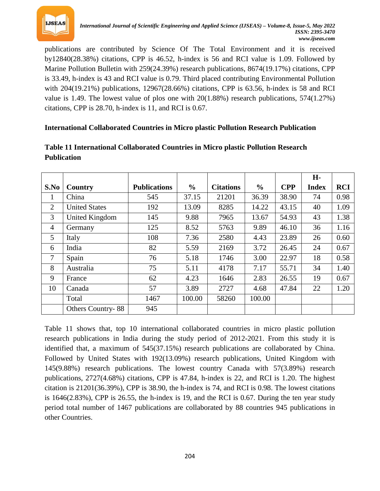

publications are contributed by Science Of The Total Environment and it is received by12840(28.38%) citations, CPP is 46.52, h-index is 56 and RCI value is 1.09. Followed by Marine Pollution Bulletin with 259(24.39%) research publications, 8674(19.17%) citations, CPP is 33.49, h-index is 43 and RCI value is 0.79. Third placed contributing Environmental Pollution with 204(19.21%) publications, 12967(28.66%) citations, CPP is 63.56, h-index is 58 and RCI value is 1.49. The lowest value of plos one with 20(1.88%) research publications, 574(1.27%) citations, CPP is 28.70, h-index is 11, and RCI is 0.67.

## **International Collaborated Countries in Micro plastic Pollution Research Publication**

|                |                          |                     |               |                  |               |            | H-           |            |
|----------------|--------------------------|---------------------|---------------|------------------|---------------|------------|--------------|------------|
| S.No           | Country                  | <b>Publications</b> | $\frac{0}{0}$ | <b>Citations</b> | $\frac{6}{6}$ | <b>CPP</b> | <b>Index</b> | <b>RCI</b> |
| 1              | China                    | 545                 | 37.15         | 21201            | 36.39         | 38.90      | 74           | 0.98       |
| 2              | <b>United States</b>     | 192                 | 13.09         | 8285             | 14.22         | 43.15      | 40           | 1.09       |
| 3              | <b>United Kingdom</b>    | 145                 | 9.88          | 7965             | 13.67         | 54.93      | 43           | 1.38       |
| $\overline{4}$ | Germany                  | 125                 | 8.52          | 5763             | 9.89          | 46.10      | 36           | 1.16       |
| 5              | Italy                    | 108                 | 7.36          | 2580             | 4.43          | 23.89      | 26           | 0.60       |
| 6              | India                    | 82                  | 5.59          | 2169             | 3.72          | 26.45      | 24           | 0.67       |
| 7              | Spain                    | 76                  | 5.18          | 1746             | 3.00          | 22.97      | 18           | 0.58       |
| 8              | Australia                | 75                  | 5.11          | 4178             | 7.17          | 55.71      | 34           | 1.40       |
| 9              | France                   | 62                  | 4.23          | 1646             | 2.83          | 26.55      | 19           | 0.67       |
| 10             | Canada                   | 57                  | 3.89          | 2727             | 4.68          | 47.84      | 22           | 1.20       |
|                | Total                    | 1467                | 100.00        | 58260            | 100.00        |            |              |            |
|                | <b>Others Country-88</b> | 945                 |               |                  |               |            |              |            |

# **Table 11 International Collaborated Countries in Micro plastic Pollution Research Publication**

Table 11 shows that, top 10 international collaborated countries in micro plastic pollution research publications in India during the study period of 2012-2021. From this study it is identified that, a maximum of 545(37.15%) research publications are collaborated by China. Followed by United States with 192(13.09%) research publications, United Kingdom with 145(9.88%) research publications. The lowest country Canada with 57(3.89%) research publications, 2727(4.68%) citations, CPP is 47.84, h-index is 22, and RCI is 1.20. The highest citation is 21201(36.39%), CPP is 38.90, the h-index is 74, and RCI is 0.98. The lowest citations is  $1646(2.83\%)$ , CPP is 26.55, the h-index is 19, and the RCI is 0.67. During the ten year study period total number of 1467 publications are collaborated by 88 countries 945 publications in other Countries.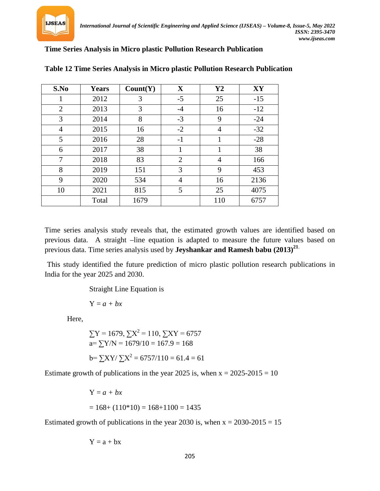

#### **Time Series Analysis in Micro plastic Pollution Research Publication**

| S.No           | <b>Years</b> | Count(Y) | $\mathbf X$    | $\mathbf{Y2}$  | XY    |
|----------------|--------------|----------|----------------|----------------|-------|
| 1              | 2012         | 3        | $-5$           | 25             | $-15$ |
| $\overline{2}$ | 2013         | 3        | $-4$           | 16             | $-12$ |
| 3              | 2014         | 8        | $-3$           | 9              | $-24$ |
| 4              | 2015         | 16       | $-2$           | 4              | $-32$ |
| 5              | 2016         | 28       | $-1$           |                | $-28$ |
| 6              | 2017         | 38       | 1              | 1              | 38    |
| 7              | 2018         | 83       | $\overline{2}$ | $\overline{4}$ | 166   |
| 8              | 2019         | 151      | 3              | 9              | 453   |
| 9              | 2020         | 534      | $\overline{4}$ | 16             | 2136  |
| 10             | 2021         | 815      | 5              | 25             | 4075  |
|                | Total        | 1679     |                | 110            | 6757  |

#### **Table 12 Time Series Analysis in Micro plastic Pollution Research Publication**

Time series analysis study reveals that, the estimated growth values are identified based on previous data. A straight –line equation is adapted to measure the future values based on previous data. Time series analysis used by **Jeyshankar and Ramesh babu (2013)***<sup>P</sup>* **21**.

This study identified the future prediction of micro plastic pollution research publications in India for the year 2025 and 2030.

Straight Line Equation is

 $Y = a + bx$ 

Here,

$$
\sum Y = 1679, \sum X^2 = 110, \sum XY = 6757
$$
  
a=  $\sum Y/N = 1679/10 = 167.9 = 168$   
b=  $\sum XY/\sum X^2 = 6757/110 = 61.4 = 61$ 

Estimate growth of publications in the year 2025 is, when  $x = 2025-2015 = 10$ 

$$
Y = a + bx
$$
  
= 168+ (110\*10) = 168+1100 = 1435

Estimated growth of publications in the year 2030 is, when  $x = 2030-2015 = 15$ 

$$
Y=a+b\boldsymbol{x}
$$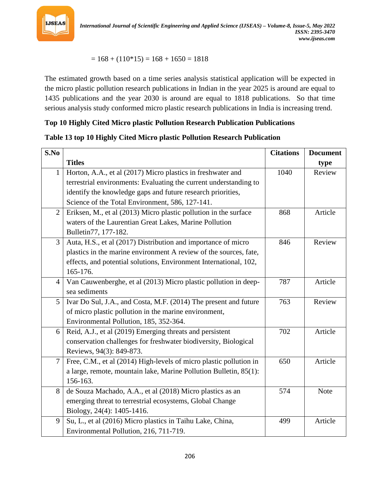

 $= 168 + (110*15) = 168 + 1650 = 1818$ 

The estimated growth based on a time series analysis statistical application will be expected in the micro plastic pollution research publications in Indian in the year 2025 is around are equal to 1435 publications and the year 2030 is around are equal to 1818 publications. So that time serious analysis study conformed micro plastic research publications in India is increasing trend.

#### **Top 10 Highly Cited Micro plastic Pollution Research Publication Publications**

## **Table 13 top 10 Highly Cited Micro plastic Pollution Research Publication**

| S.No           |                                                                    | <b>Citations</b> | <b>Document</b> |
|----------------|--------------------------------------------------------------------|------------------|-----------------|
|                | <b>Titles</b>                                                      |                  | type            |
| $\mathbf{1}$   | Horton, A.A., et al (2017) Micro plastics in freshwater and        | 1040             | Review          |
|                | terrestrial environments: Evaluating the current understanding to  |                  |                 |
|                | identify the knowledge gaps and future research priorities,        |                  |                 |
|                | Science of the Total Environment, 586, 127-141.                    |                  |                 |
| $\overline{2}$ | Eriksen, M., et al (2013) Micro plastic pollution in the surface   | 868              | Article         |
|                | waters of the Laurentian Great Lakes, Marine Pollution             |                  |                 |
|                | Bulletin77, 177-182.                                               |                  |                 |
| 3              | Auta, H.S., et al (2017) Distribution and importance of micro      | 846              | Review          |
|                | plastics in the marine environment A review of the sources, fate,  |                  |                 |
|                | effects, and potential solutions, Environment International, 102,  |                  |                 |
|                | 165-176.                                                           |                  |                 |
| 4              | Van Cauwenberghe, et al (2013) Micro plastic pollution in deep-    | 787              | Article         |
|                | sea sediments                                                      |                  |                 |
| 5              | Ivar Do Sul, J.A., and Costa, M.F. (2014) The present and future   | 763              | Review          |
|                | of micro plastic pollution in the marine environment,              |                  |                 |
|                | Environmental Pollution, 185, 352-364.                             |                  |                 |
| 6              | Reid, A.J., et al (2019) Emerging threats and persistent           | 702              | Article         |
|                | conservation challenges for freshwater biodiversity, Biological    |                  |                 |
|                | Reviews, 94(3): 849-873.                                           |                  |                 |
| $\overline{7}$ | Free, C.M., et al (2014) High-levels of micro plastic pollution in | 650              | Article         |
|                | a large, remote, mountain lake, Marine Pollution Bulletin, 85(1):  |                  |                 |
|                | 156-163.                                                           |                  |                 |
| 8              | de Souza Machado, A.A., et al (2018) Micro plastics as an          | 574              | <b>Note</b>     |
|                | emerging threat to terrestrial ecosystems, Global Change           |                  |                 |
|                | Biology, 24(4): 1405-1416.                                         |                  |                 |
| 9              | Su, L., et al (2016) Micro plastics in Taihu Lake, China,          | 499              | Article         |
|                | Environmental Pollution, 216, 711-719.                             |                  |                 |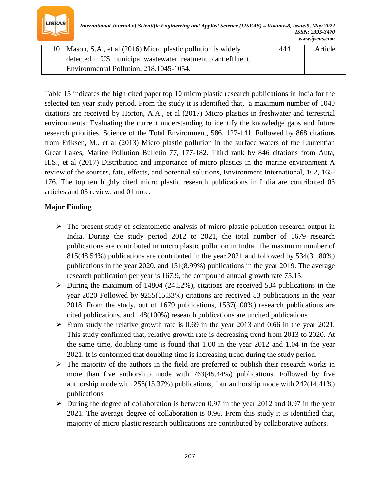

| 10   Mason, S.A., et al (2016) Micro plastic pollution is widely | 444 | Article |
|------------------------------------------------------------------|-----|---------|
| detected in US municipal wastewater treatment plant effluent,    |     |         |
| Environmental Pollution, 218, 1045-1054.                         |     |         |

Table 15 indicates the high cited paper top 10 micro plastic research publications in India for the selected ten year study period. From the study it is identified that, a maximum number of 1040 citations are received by Horton, A.A., et al (2017) Micro plastics in freshwater and terrestrial environments: Evaluating the current understanding to identify the knowledge gaps and future research priorities, Science of the Total Environment, 586, 127-141. Followed by 868 citations from Eriksen, M., et al (2013) Micro plastic pollution in the surface waters of the Laurentian Great Lakes, Marine Pollution Bulletin 77, 177-182. Third rank by 846 citations from Auta, H.S., et al (2017) Distribution and importance of micro plastics in the marine environment A review of the sources, fate, effects, and potential solutions, Environment International, 102, 165- 176. The top ten highly cited micro plastic research publications in India are contributed 06 articles and 03 review, and 01 note.

#### **Major Finding**

- $\triangleright$  The present study of scientometic analysis of micro plastic pollution research output in India. During the study period 2012 to 2021, the total number of 1679 research publications are contributed in micro plastic pollution in India. The maximum number of 815(48.54%) publications are contributed in the year 2021 and followed by 534(31.80%) publications in the year 2020, and 151(8.99%) publications in the year 2019. The average research publication per year is 167.9, the compound annual growth rate 75.15.
- $\triangleright$  During the maximum of 14804 (24.52%), citations are received 534 publications in the year 2020 Followed by 9255(15.33%) citations are received 83 publications in the year 2018. From the study, out of 1679 publications, 1537(100%) research publications are cited publications, and 148(100%) research publications are uncited publications
- From study the relative growth rate is 0.69 in the year 2013 and 0.66 in the year 2021. This study confirmed that, relative growth rate is decreasing trend from 2013 to 2020. At the same time, doubling time is found that 1.00 in the year 2012 and 1.04 in the year 2021. It is conformed that doubling time is increasing trend during the study period.
- $\triangleright$  The majority of the authors in the field are preferred to publish their research works in more than five authorship mode with 763(45.44%) publications. Followed by five authorship mode with 258(15.37%) publications, four authorship mode with 242(14.41%) publications
- $\triangleright$  During the degree of collaboration is between 0.97 in the year 2012 and 0.97 in the year 2021. The average degree of collaboration is 0.96. From this study it is identified that, majority of micro plastic research publications are contributed by collaborative authors.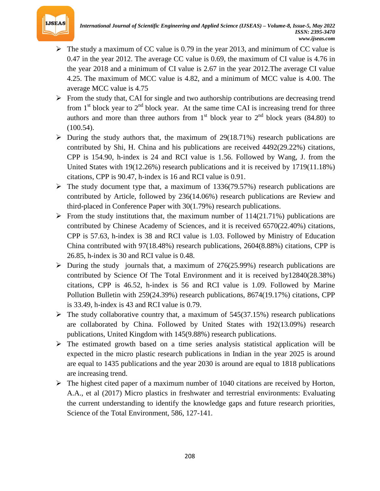

- $\triangleright$  The study a maximum of CC value is 0.79 in the year 2013, and minimum of CC value is 0.47 in the year 2012. The average CC value is 0.69, the maximum of CI value is 4.76 in the year 2018 and a minimum of CI value is 2.67 in the year 2012.The average CI value 4.25. The maximum of MCC value is 4.82, and a minimum of MCC value is 4.00. The average MCC value is 4.75
- $\triangleright$  From the study that, CAI for single and two authorship contributions are decreasing trend from 1<sup>st</sup> block year to 2<sup>nd</sup> block year. At the same time CAI is increasing trend for three authors and more than three authors from  $1<sup>st</sup>$  block year to  $2<sup>nd</sup>$  block years (84.80) to (100.54).
- $\triangleright$  During the study authors that, the maximum of 29(18.71%) research publications are contributed by Shi, H. China and his publications are received 4492(29.22%) citations, CPP is 154.90, h-index is 24 and RCI value is 1.56. Followed by Wang, J. from the United States with 19(12.26%) research publications and it is received by 1719(11.18%) citations, CPP is 90.47, h-index is 16 and RCI value is 0.91.
- $\triangleright$  The study document type that, a maximum of 1336(79.57%) research publications are contributed by Article, followed by 236(14.06%) research publications are Review and third-placed in Conference Paper with 30(1.79%) research publications.
- $\triangleright$  From the study institutions that, the maximum number of 114(21.71%) publications are contributed by Chinese Academy of Sciences, and it is received 6570(22.40%) citations, CPP is 57.63, h-index is 38 and RCI value is 1.03. Followed by Ministry of Education China contributed with 97(18.48%) research publications, 2604(8.88%) citations, CPP is 26.85, h-index is 30 and RCI value is 0.48.
- $\triangleright$  During the study journals that, a maximum of 276(25.99%) research publications are contributed by Science Of The Total Environment and it is received by12840(28.38%) citations, CPP is 46.52, h-index is 56 and RCI value is 1.09. Followed by Marine Pollution Bulletin with 259(24.39%) research publications, 8674(19.17%) citations, CPP is 33.49, h-index is 43 and RCI value is 0.79.
- $\triangleright$  The study collaborative country that, a maximum of 545(37.15%) research publications are collaborated by China. Followed by United States with 192(13.09%) research publications, United Kingdom with 145(9.88%) research publications.
- $\triangleright$  The estimated growth based on a time series analysis statistical application will be expected in the micro plastic research publications in Indian in the year 2025 is around are equal to 1435 publications and the year 2030 is around are equal to 1818 publications are increasing trend.
- $\triangleright$  The highest cited paper of a maximum number of 1040 citations are received by Horton, A.A., et al (2017) Micro plastics in freshwater and terrestrial environments: Evaluating the current understanding to identify the knowledge gaps and future research priorities, Science of the Total Environment, 586, 127-141.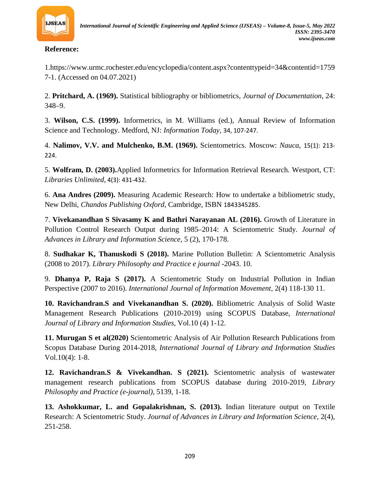

**Reference:**

1.https://www.urmc.rochester.edu/encyclopedia/content.aspx?contenttypeid=34&contentid=1759 7-1. (Accessed on 04.07.2021)

2. **Pritchard, A. (1969).** Statistical bibliography or bibliometrics, *Journal of Documentation*, 24: 348–9.

3. **Wilson, C.S. (1999).** Informetrics, in M. Williams (ed.), Annual Review of Information Science and Technology. Medford, NJ: *Information Today,* 34, 107-247.

4. **Nalimov, V.V. and Mulchenko, B.M. (1969).** Scientometrics. Moscow: *Nauca, 34T*15(1):*34T* 213- 224.

5. **Wolfram, D. (2003).**Applied Informetrics for Information Retrieval Research. Westport, CT: *Libraries Unlimited,* 4(3): 431-432.

6. **Ana Andres (2009).** Measuring Academic Research: How to undertake a bibliometric study, New Delhi, *Chandos Publishing Oxford*, Cambridge, ISBN 1843345285.

7. **Vivekanandhan S Sivasamy K and Bathri Narayanan AL (2016).** Growth of Literature in Pollution Control Research Output during 1985–2014: A Scientometric Study. *Journal of Advances in Library and Information Science*, 5 (2), 170-178.

8. **Sudhakar K, Thanuskodi S (2018).** Marine Pollution Bulletin: A Scientometric Analysis (2008 to 2017). *Library Philosophy and Practice e journal* -2043. 10.

9. **Dhanya P, Raja S (2017).** A Scientometric Study on Industrial Pollution in Indian Perspective (2007 to 2016). *International Journal of Information Movement*, 2(4) 118-130 11.

**10. Ravichandran.S and Vivekanandhan S. (2020).** Bibliometric Analysis of Solid Waste Management Research Publications (2010-2019) using SCOPUS Database, *International Journal of Library and Information Studies*, Vol.10 (4) 1-12.

**11. Murugan S et al(2020)** Scientometric Analysis of Air Pollution Research Publications from Scopus Database During 2014-2018, *International Journal of Library and Information Studies* Vol.10(4): 1-8.

**12. Ravichandran.S & Vivekandhan. S (2021).** Scientometric analysis of wastewater management research publications from SCOPUS database during 2010-2019, *Library Philosophy and Practice (e-journal),* 5139, 1-18.

**13. Ashokkumar, L. and Gopalakrishnan, S. (2013).** Indian literature output on Textile Research: A Scientometric Study. *Journal of Advances in Library and Information Science*, 2(4), 251-258.